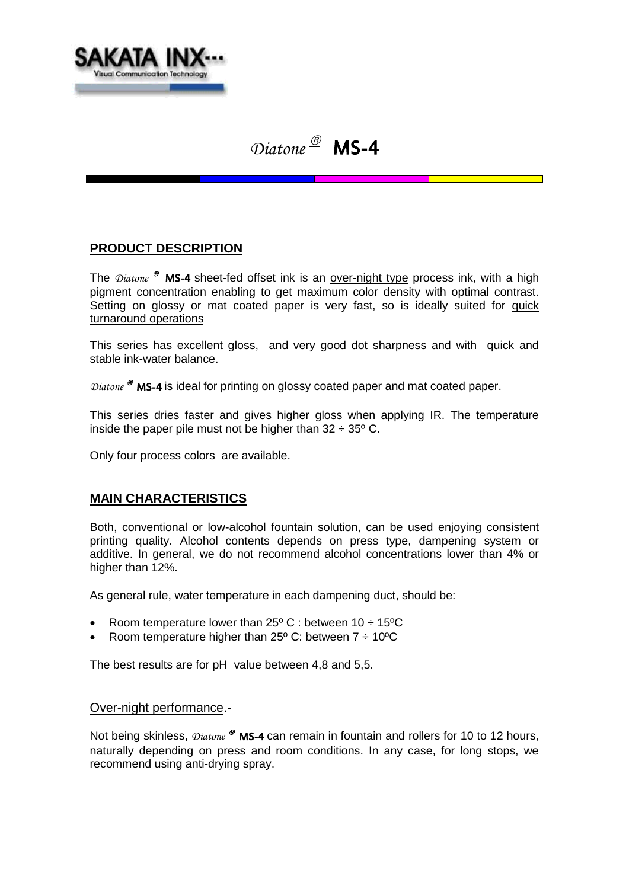

# *Diatone* MS-4

## **PRODUCT DESCRIPTION**

The *Diatone* <sup>®</sup> MS-4 sheet-fed offset ink is an over-night type process ink, with a high pigment concentration enabling to get maximum color density with optimal contrast. Setting on glossy or mat coated paper is very fast, so is ideally suited for quick turnaround operations

This series has excellent gloss, and very good dot sharpness and with quick and stable ink-water balance.

*Diatone* <sup>®</sup> MS-4 is ideal for printing on glossy coated paper and mat coated paper.

This series dries faster and gives higher gloss when applying IR. The temperature inside the paper pile must not be higher than  $32 \div 35^{\circ}$  C.

Only four process colors are available.

#### **MAIN CHARACTERISTICS**

Both, conventional or low-alcohol fountain solution, can be used enjoying consistent printing quality. Alcohol contents depends on press type, dampening system or additive. In general, we do not recommend alcohol concentrations lower than 4% or higher than 12%.

As general rule, water temperature in each dampening duct, should be:

- Room temperature lower than  $25^{\circ}$  C : between 10  $\div$  15<sup>o</sup>C
- Room temperature higher than 25 $\degree$  C: between 7  $\div$  10 $\degree$ C

The best results are for pH value between 4,8 and 5,5.

#### Over-night performance.-

Not being skinless,  $\mathcal{D}$ *iatone* ® MS-4 can remain in fountain and rollers for 10 to 12 hours, naturally depending on press and room conditions. In any case, for long stops, we recommend using anti-drying spray.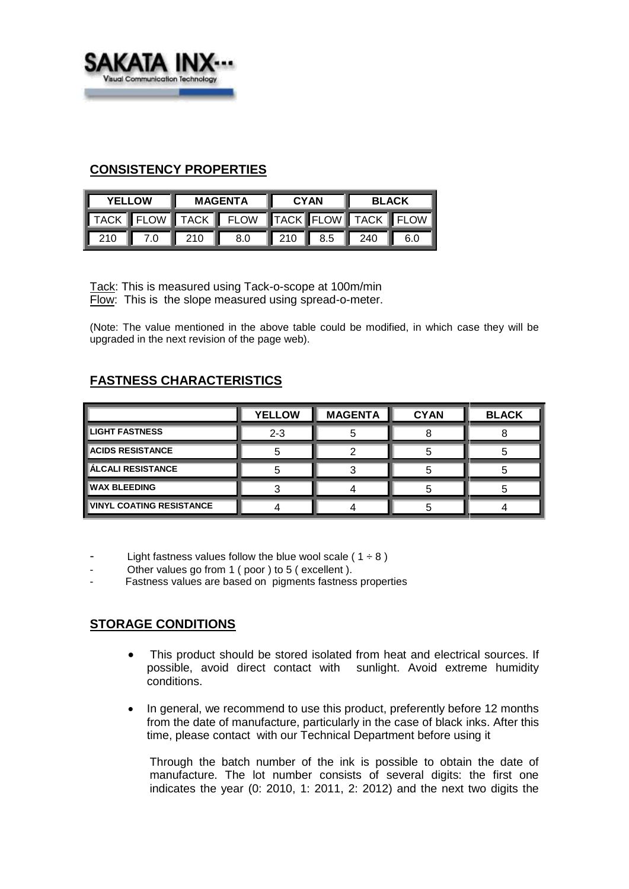

#### **CONSISTENCY PROPERTIES**

| <b>YELLOW</b> |  | <b>MAGENTA</b> |                                         | <b>CYAN</b> |  | <b>BLACK</b> |  |
|---------------|--|----------------|-----------------------------------------|-------------|--|--------------|--|
|               |  |                | TACK FLOW TACK FLOW TACK FLOW TACK FLOW |             |  |              |  |
|               |  |                | 210 7.0 210 8.0 210 8.5 240 6.0         |             |  |              |  |

Tack: This is measured using Tack-o-scope at 100m/min Flow: This is the slope measured using spread-o-meter.

(Note: The value mentioned in the above table could be modified, in which case they will be upgraded in the next revision of the page web).

# **FASTNESS CHARACTERISTICS**

|                                 | <b>YELLOW</b> | <b>MAGENTA</b> | <b>CYAN</b> | <b>BLACK</b> |
|---------------------------------|---------------|----------------|-------------|--------------|
| <b>LIGHT FASTNESS</b>           | $2 - 3$       |                |             |              |
| <b>ACIDS RESISTANCE</b>         |               |                |             |              |
| <b>ÁLCALI RESISTANCE</b>        |               |                |             |              |
| <b>WAX BLEEDING</b>             |               |                |             |              |
| <b>VINYL COATING RESISTANCE</b> |               |                |             |              |

Light fastness values follow the blue wool scale ( $1 \div 8$ )

- Other values go from 1 ( poor ) to 5 ( excellent ).
- Fastness values are based on pigments fastness properties

## **STORAGE CONDITIONS**

- This product should be stored isolated from heat and electrical sources. If possible, avoid direct contact with sunlight. Avoid extreme humidity conditions.
- In general, we recommend to use this product, preferently before 12 months from the date of manufacture, particularly in the case of black inks. After this time, please contact with our Technical Department before using it

Through the batch number of the ink is possible to obtain the date of manufacture. The lot number consists of several digits: the first one indicates the year (0: 2010, 1: 2011, 2: 2012) and the next two digits the